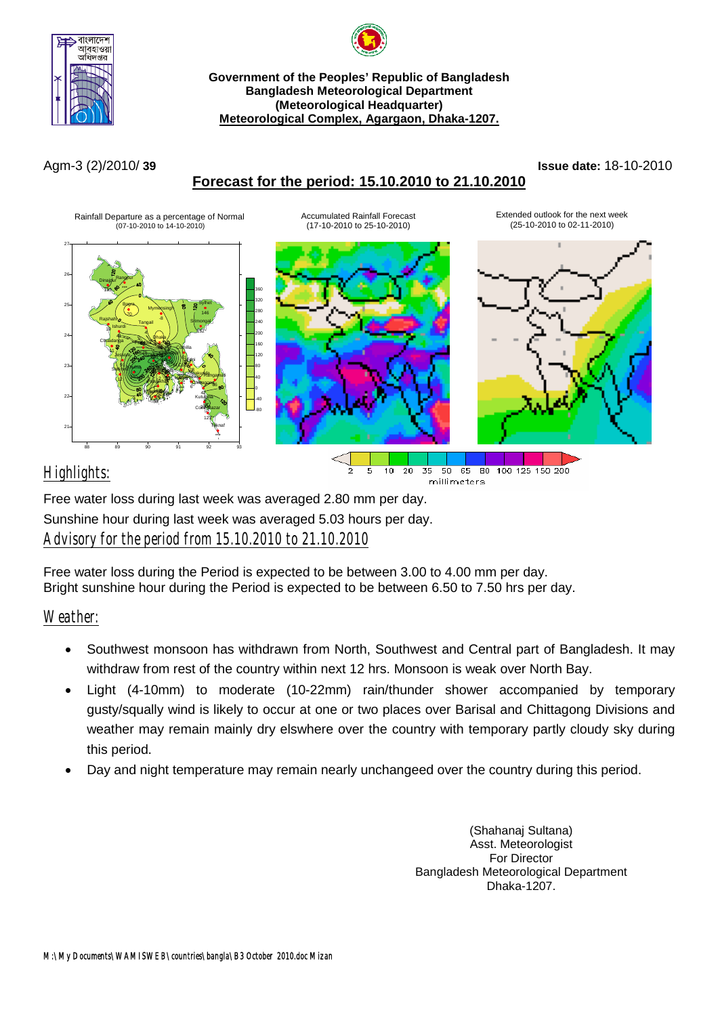



#### **Government of the Peoples' Republic of Bangladesh Bangladesh Meteorological Department (Meteorological Headquarter) Meteorological Complex, Agargaon, Dhaka-1207.**

# **Forecast for the period: 15.10.2010 to 21.10.2010**

### Agm-3 (2)/2010/ **39 Issue date:** 18-10-2010



# *Highlights:*

Free water loss during last week was averaged 2.80 mm per day. Sunshine hour during last week was averaged 5.03 hours per day. *Advisory for the period from 15.10.2010 to 21.10.2010*

Free water loss during the Period is expected to be between 3.00 to 4.00 mm per day. Bright sunshine hour during the Period is expected to be between 6.50 to 7.50 hrs per day.

## *Weather:*

• Southwest monsoon has withdrawn from North, Southwest and Central part of Bangladesh. It may withdraw from rest of the country within next 12 hrs. Monsoon is weak over North Bay.

millimeters

- Light (4-10mm) to moderate (10-22mm) rain/thunder shower accompanied by temporary gusty/squally wind is likely to occur at one or two places over Barisal and Chittagong Divisions and weather may remain mainly dry elswhere over the country with temporary partly cloudy sky during this period.
- Day and night temperature may remain nearly unchangeed over the country during this period.

(Shahanaj Sultana) Asst. Meteorologist For Director Bangladesh Meteorological Department Dhaka-1207.